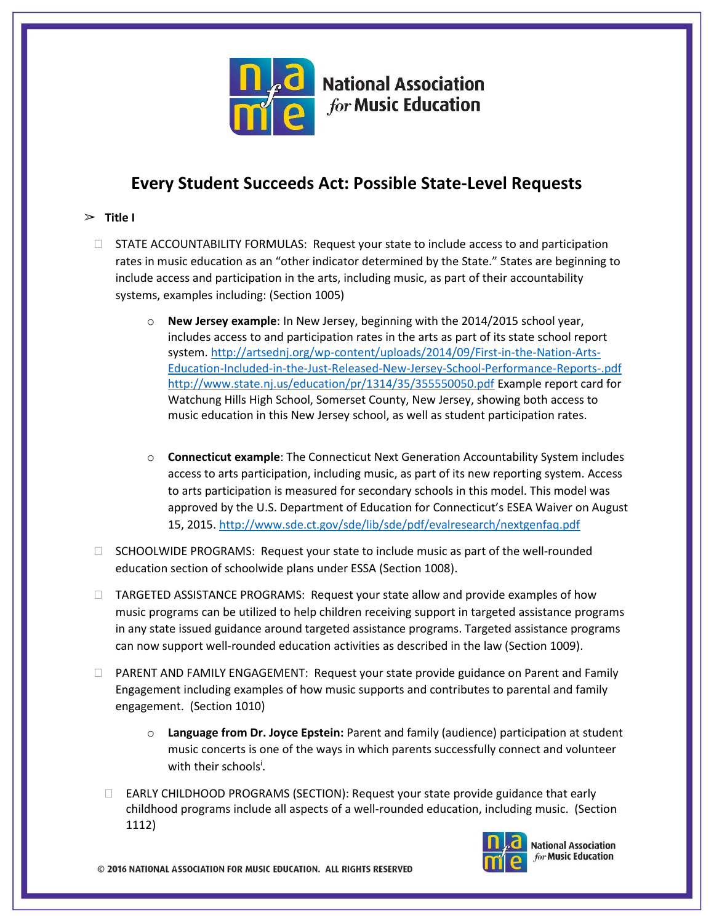

# **National Association for Music Education**

## **Every Student Succeeds Act: Possible State-Level Requests**

## $\triangleright$  **Title I**

- □ STATE ACCOUNTABILITY FORMULAS: Request your state to include access to and participation rates in music education as an "other indicator determined by the State." States are beginning to include access and participation in the arts, including music, as part of their accountability systems, examples including: (Section 1005)
	- o **New Jersey example**: In New Jersey, beginning with the 2014/2015 school year, includes access to and participation rates in the arts as part of its state school report system. [http://artsednj.org/wp-content/uploads/2014/09/First-in-the-Nation-Arts-](http://artsednj.org/wp-content/uploads/2014/09/First-in-the-Nation-Arts-Education-Included-in-the-Just-Released-New-Jersey-School-Performance-Reports-.pdf)[Education-Included-in-the-Just-Released-New-Jersey-School-Performance-Reports-.pdf](http://artsednj.org/wp-content/uploads/2014/09/First-in-the-Nation-Arts-Education-Included-in-the-Just-Released-New-Jersey-School-Performance-Reports-.pdf) <http://www.state.nj.us/education/pr/1314/35/355550050.pdf> Example report card for Watchung Hills High School, Somerset County, New Jersey, showing both access to music education in this New Jersey school, as well as student participation rates.
	- o **Connecticut example**: The Connecticut Next Generation Accountability System includes access to arts participation, including music, as part of its new reporting system. Access to arts participation is measured for secondary schools in this model. This model was approved by the U.S. Department of Education for Connecticut's ESEA Waiver on August 15, 2015. <http://www.sde.ct.gov/sde/lib/sde/pdf/evalresearch/nextgenfaq.pdf>
- $\Box$  SCHOOLWIDE PROGRAMS: Request your state to include music as part of the well-rounded education section of schoolwide plans under ESSA (Section 1008).
- TARGETED ASSISTANCE PROGRAMS: Request your state allow and provide examples of how music programs can be utilized to help children receiving support in targeted assistance programs in any state issued guidance around targeted assistance programs. Targeted assistance programs can now support well-rounded education activities as described in the law (Section 1009).
- PARENT AND FAMILY ENGAGEMENT: Request your state provide guidance on Parent and Family Engagement including examples of how music supports and contributes to parental and family engagement. (Section 1010)
	- o **Language from Dr. Joyce Epstein:** Parent and family (audience) participation at student music concerts is one of the ways in which parents successfully connect and volunteer with their schools<sup>i</sup>.
	- $\Box$  EARLY CHILDHOOD PROGRAMS (SECTION): Request your state provide guidance that early childhood programs include all aspects of a well-rounded education, including music. (Section 1112)



**National Association** for Music Education

© 2016 NATIONAL ASSOCIATION FOR MUSIC EDUCATION. ALL RIGHTS RESERVED